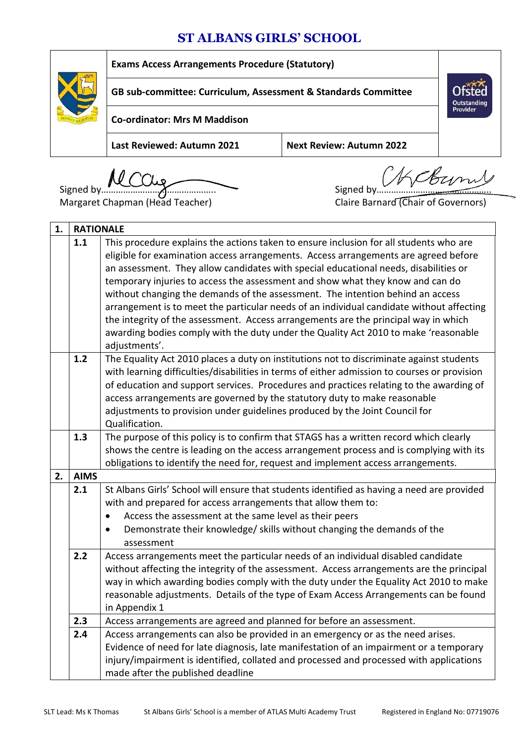## **ST ALBANS GIRLS' SCHOOL**

|  | <b>Exams Access Arrangements Procedure (Statutory)</b>         |                                 |                                |
|--|----------------------------------------------------------------|---------------------------------|--------------------------------|
|  | GB sub-committee: Curriculum, Assessment & Standards Committee |                                 | Outstanding<br><b>Provider</b> |
|  | <b>Co-ordinator: Mrs M Maddison</b>                            |                                 |                                |
|  | Last Reviewed: Autumn 2021                                     | <b>Next Review: Autumn 2022</b> |                                |

Margaret Chapman (Head Teacher) Claire Barnard (Chair of Governors)

Signed by……………………………………….. Signed by………………………………………..

| 1. | <b>RATIONALE</b> |                                                                                                                                                                                                                                                                                                                                                                                                                                                                                                                                                                                                                                                                                                                                      |  |
|----|------------------|--------------------------------------------------------------------------------------------------------------------------------------------------------------------------------------------------------------------------------------------------------------------------------------------------------------------------------------------------------------------------------------------------------------------------------------------------------------------------------------------------------------------------------------------------------------------------------------------------------------------------------------------------------------------------------------------------------------------------------------|--|
|    | 1.1              | This procedure explains the actions taken to ensure inclusion for all students who are<br>eligible for examination access arrangements. Access arrangements are agreed before<br>an assessment. They allow candidates with special educational needs, disabilities or<br>temporary injuries to access the assessment and show what they know and can do<br>without changing the demands of the assessment. The intention behind an access<br>arrangement is to meet the particular needs of an individual candidate without affecting<br>the integrity of the assessment. Access arrangements are the principal way in which<br>awarding bodies comply with the duty under the Quality Act 2010 to make 'reasonable<br>adjustments'. |  |
|    | 1.2              | The Equality Act 2010 places a duty on institutions not to discriminate against students<br>with learning difficulties/disabilities in terms of either admission to courses or provision<br>of education and support services. Procedures and practices relating to the awarding of<br>access arrangements are governed by the statutory duty to make reasonable<br>adjustments to provision under guidelines produced by the Joint Council for<br>Qualification.                                                                                                                                                                                                                                                                    |  |
|    | 1.3              | The purpose of this policy is to confirm that STAGS has a written record which clearly<br>shows the centre is leading on the access arrangement process and is complying with its<br>obligations to identify the need for, request and implement access arrangements.                                                                                                                                                                                                                                                                                                                                                                                                                                                                |  |
| 2. | <b>AIMS</b>      |                                                                                                                                                                                                                                                                                                                                                                                                                                                                                                                                                                                                                                                                                                                                      |  |
|    | 2.1              | St Albans Girls' School will ensure that students identified as having a need are provided<br>with and prepared for access arrangements that allow them to:<br>Access the assessment at the same level as their peers<br>$\bullet$<br>Demonstrate their knowledge/ skills without changing the demands of the<br>$\bullet$<br>assessment                                                                                                                                                                                                                                                                                                                                                                                             |  |
|    | 2.2              | Access arrangements meet the particular needs of an individual disabled candidate<br>without affecting the integrity of the assessment. Access arrangements are the principal<br>way in which awarding bodies comply with the duty under the Equality Act 2010 to make<br>reasonable adjustments. Details of the type of Exam Access Arrangements can be found<br>in Appendix 1                                                                                                                                                                                                                                                                                                                                                      |  |
|    | 2.3              | Access arrangements are agreed and planned for before an assessment.                                                                                                                                                                                                                                                                                                                                                                                                                                                                                                                                                                                                                                                                 |  |
|    | 2.4              | Access arrangements can also be provided in an emergency or as the need arises.<br>Evidence of need for late diagnosis, late manifestation of an impairment or a temporary<br>injury/impairment is identified, collated and processed and processed with applications<br>made after the published deadline                                                                                                                                                                                                                                                                                                                                                                                                                           |  |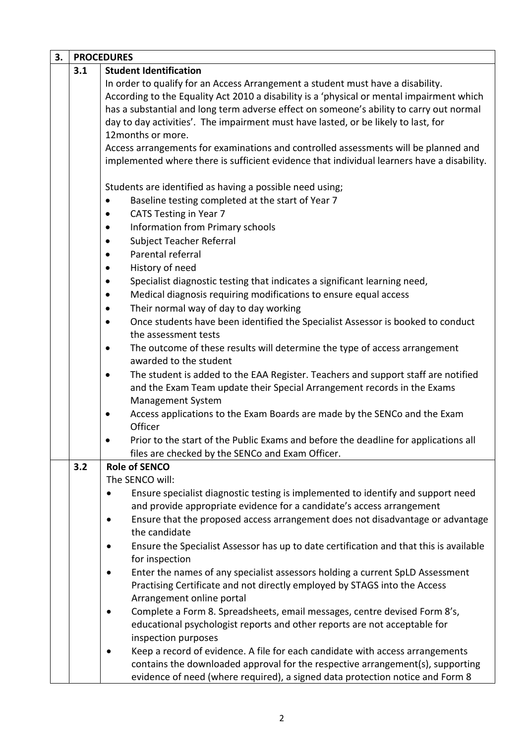| 3. |     | <b>PROCEDURES</b>                                                                                    |  |  |
|----|-----|------------------------------------------------------------------------------------------------------|--|--|
|    | 3.1 | <b>Student Identification</b>                                                                        |  |  |
|    |     | In order to qualify for an Access Arrangement a student must have a disability.                      |  |  |
|    |     | According to the Equality Act 2010 a disability is a 'physical or mental impairment which            |  |  |
|    |     | has a substantial and long term adverse effect on someone's ability to carry out normal              |  |  |
|    |     | day to day activities'. The impairment must have lasted, or be likely to last, for                   |  |  |
|    |     | 12months or more.                                                                                    |  |  |
|    |     | Access arrangements for examinations and controlled assessments will be planned and                  |  |  |
|    |     | implemented where there is sufficient evidence that individual learners have a disability.           |  |  |
|    |     | Students are identified as having a possible need using;                                             |  |  |
|    |     | Baseline testing completed at the start of Year 7<br>$\bullet$                                       |  |  |
|    |     | <b>CATS Testing in Year 7</b><br>$\bullet$                                                           |  |  |
|    |     | <b>Information from Primary schools</b><br>$\bullet$                                                 |  |  |
|    |     | Subject Teacher Referral<br>$\bullet$                                                                |  |  |
|    |     | Parental referral<br>$\bullet$                                                                       |  |  |
|    |     | History of need<br>$\bullet$                                                                         |  |  |
|    |     | Specialist diagnostic testing that indicates a significant learning need,<br>$\bullet$               |  |  |
|    |     | Medical diagnosis requiring modifications to ensure equal access<br>$\bullet$                        |  |  |
|    |     | Their normal way of day to day working<br>$\bullet$                                                  |  |  |
|    |     | Once students have been identified the Specialist Assessor is booked to conduct<br>$\bullet$         |  |  |
|    |     | the assessment tests                                                                                 |  |  |
|    |     | The outcome of these results will determine the type of access arrangement<br>$\bullet$              |  |  |
|    |     | awarded to the student                                                                               |  |  |
|    |     | The student is added to the EAA Register. Teachers and support staff are notified<br>$\bullet$       |  |  |
|    |     | and the Exam Team update their Special Arrangement records in the Exams                              |  |  |
|    |     | Management System                                                                                    |  |  |
|    |     | Access applications to the Exam Boards are made by the SENCo and the Exam<br>$\bullet$               |  |  |
|    |     | Officer                                                                                              |  |  |
|    |     | Prior to the start of the Public Exams and before the deadline for applications all                  |  |  |
|    |     | files are checked by the SENCo and Exam Officer.                                                     |  |  |
|    | 3.2 | <b>Role of SENCO</b>                                                                                 |  |  |
|    |     | The SENCO will:                                                                                      |  |  |
|    |     | Ensure specialist diagnostic testing is implemented to identify and support need                     |  |  |
|    |     | and provide appropriate evidence for a candidate's access arrangement                                |  |  |
|    |     | Ensure that the proposed access arrangement does not disadvantage or advantage<br>٠<br>the candidate |  |  |
|    |     | Ensure the Specialist Assessor has up to date certification and that this is available               |  |  |
|    |     | for inspection                                                                                       |  |  |
|    |     | Enter the names of any specialist assessors holding a current SpLD Assessment                        |  |  |
|    |     | Practising Certificate and not directly employed by STAGS into the Access                            |  |  |
|    |     | Arrangement online portal                                                                            |  |  |
|    |     | Complete a Form 8. Spreadsheets, email messages, centre devised Form 8's,                            |  |  |
|    |     | educational psychologist reports and other reports are not acceptable for                            |  |  |
|    |     | inspection purposes                                                                                  |  |  |
|    |     | Keep a record of evidence. A file for each candidate with access arrangements                        |  |  |
|    |     | contains the downloaded approval for the respective arrangement(s), supporting                       |  |  |
|    |     | evidence of need (where required), a signed data protection notice and Form 8                        |  |  |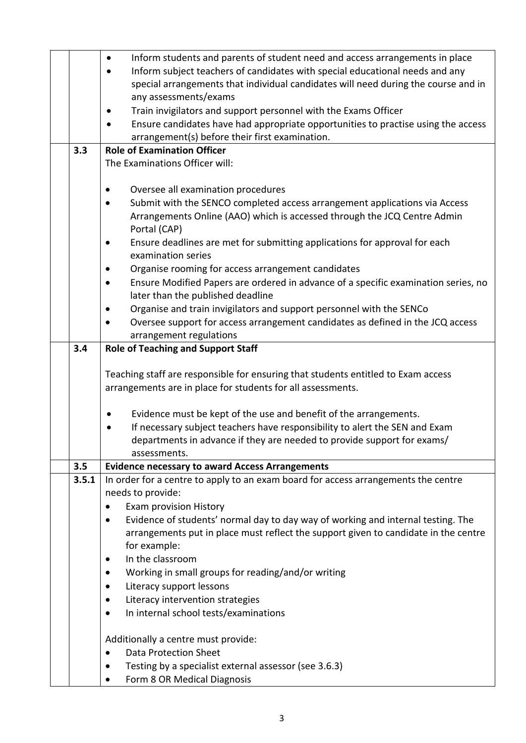|       | Inform students and parents of student need and access arrangements in place<br>$\bullet$                                                        |  |
|-------|--------------------------------------------------------------------------------------------------------------------------------------------------|--|
|       | Inform subject teachers of candidates with special educational needs and any                                                                     |  |
|       | special arrangements that individual candidates will need during the course and in                                                               |  |
|       | any assessments/exams                                                                                                                            |  |
|       | Train invigilators and support personnel with the Exams Officer                                                                                  |  |
|       | Ensure candidates have had appropriate opportunities to practise using the access                                                                |  |
|       | arrangement(s) before their first examination.                                                                                                   |  |
| 3.3   | <b>Role of Examination Officer</b>                                                                                                               |  |
|       | The Examinations Officer will:                                                                                                                   |  |
|       |                                                                                                                                                  |  |
|       | Oversee all examination procedures                                                                                                               |  |
|       | Submit with the SENCO completed access arrangement applications via Access                                                                       |  |
|       | Arrangements Online (AAO) which is accessed through the JCQ Centre Admin                                                                         |  |
|       | Portal (CAP)                                                                                                                                     |  |
|       | Ensure deadlines are met for submitting applications for approval for each                                                                       |  |
|       | examination series                                                                                                                               |  |
|       | Organise rooming for access arrangement candidates                                                                                               |  |
|       | Ensure Modified Papers are ordered in advance of a specific examination series, no                                                               |  |
|       | later than the published deadline                                                                                                                |  |
|       | Organise and train invigilators and support personnel with the SENCo                                                                             |  |
|       | Oversee support for access arrangement candidates as defined in the JCQ access                                                                   |  |
|       | arrangement regulations                                                                                                                          |  |
| 3.4   | <b>Role of Teaching and Support Staff</b>                                                                                                        |  |
|       |                                                                                                                                                  |  |
|       |                                                                                                                                                  |  |
|       | Teaching staff are responsible for ensuring that students entitled to Exam access<br>arrangements are in place for students for all assessments. |  |
|       |                                                                                                                                                  |  |
|       | Evidence must be kept of the use and benefit of the arrangements.<br>$\bullet$                                                                   |  |
|       | If necessary subject teachers have responsibility to alert the SEN and Exam                                                                      |  |
|       | departments in advance if they are needed to provide support for exams/                                                                          |  |
|       | assessments.                                                                                                                                     |  |
| 3.5   | <b>Evidence necessary to award Access Arrangements</b>                                                                                           |  |
| 3.5.1 | In order for a centre to apply to an exam board for access arrangements the centre                                                               |  |
|       | needs to provide:                                                                                                                                |  |
|       | Exam provision History                                                                                                                           |  |
|       | Evidence of students' normal day to day way of working and internal testing. The<br>٠                                                            |  |
|       | arrangements put in place must reflect the support given to candidate in the centre                                                              |  |
|       | for example:                                                                                                                                     |  |
|       | In the classroom                                                                                                                                 |  |
|       | Working in small groups for reading/and/or writing                                                                                               |  |
|       | Literacy support lessons<br>$\bullet$                                                                                                            |  |
|       | Literacy intervention strategies                                                                                                                 |  |
|       | In internal school tests/examinations                                                                                                            |  |
|       |                                                                                                                                                  |  |
|       | Additionally a centre must provide:                                                                                                              |  |
|       | <b>Data Protection Sheet</b><br>$\bullet$                                                                                                        |  |
|       | Testing by a specialist external assessor (see 3.6.3)                                                                                            |  |
|       | Form 8 OR Medical Diagnosis                                                                                                                      |  |
|       |                                                                                                                                                  |  |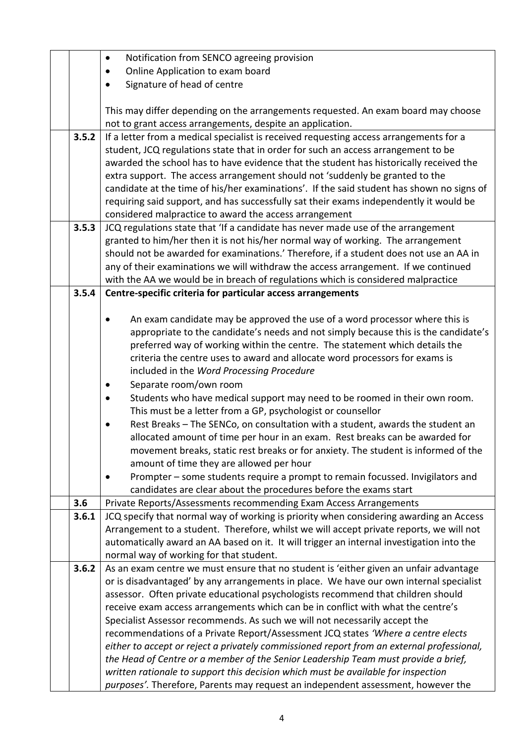|       | Notification from SENCO agreeing provision<br>$\bullet$                                                                                                                           |  |  |
|-------|-----------------------------------------------------------------------------------------------------------------------------------------------------------------------------------|--|--|
|       | Online Application to exam board<br>٠                                                                                                                                             |  |  |
|       | Signature of head of centre<br>$\bullet$                                                                                                                                          |  |  |
|       |                                                                                                                                                                                   |  |  |
|       | This may differ depending on the arrangements requested. An exam board may choose                                                                                                 |  |  |
|       | not to grant access arrangements, despite an application.                                                                                                                         |  |  |
| 3.5.2 | If a letter from a medical specialist is received requesting access arrangements for a                                                                                            |  |  |
|       | student, JCQ regulations state that in order for such an access arrangement to be                                                                                                 |  |  |
|       | awarded the school has to have evidence that the student has historically received the                                                                                            |  |  |
|       | extra support. The access arrangement should not 'suddenly be granted to the                                                                                                      |  |  |
|       | candidate at the time of his/her examinations'. If the said student has shown no signs of                                                                                         |  |  |
|       | requiring said support, and has successfully sat their exams independently it would be                                                                                            |  |  |
|       | considered malpractice to award the access arrangement                                                                                                                            |  |  |
| 3.5.3 | JCQ regulations state that 'If a candidate has never made use of the arrangement                                                                                                  |  |  |
|       | granted to him/her then it is not his/her normal way of working. The arrangement                                                                                                  |  |  |
|       | should not be awarded for examinations.' Therefore, if a student does not use an AA in                                                                                            |  |  |
|       | any of their examinations we will withdraw the access arrangement. If we continued                                                                                                |  |  |
|       | with the AA we would be in breach of regulations which is considered malpractice                                                                                                  |  |  |
| 3.5.4 | Centre-specific criteria for particular access arrangements                                                                                                                       |  |  |
|       |                                                                                                                                                                                   |  |  |
|       | An exam candidate may be approved the use of a word processor where this is                                                                                                       |  |  |
|       | appropriate to the candidate's needs and not simply because this is the candidate's                                                                                               |  |  |
|       | preferred way of working within the centre. The statement which details the                                                                                                       |  |  |
|       | criteria the centre uses to award and allocate word processors for exams is                                                                                                       |  |  |
|       | included in the Word Processing Procedure                                                                                                                                         |  |  |
|       | Separate room/own room                                                                                                                                                            |  |  |
|       | Students who have medical support may need to be roomed in their own room.                                                                                                        |  |  |
|       | This must be a letter from a GP, psychologist or counsellor                                                                                                                       |  |  |
|       | Rest Breaks - The SENCo, on consultation with a student, awards the student an                                                                                                    |  |  |
|       | allocated amount of time per hour in an exam. Rest breaks can be awarded for                                                                                                      |  |  |
|       | movement breaks, static rest breaks or for anxiety. The student is informed of the                                                                                                |  |  |
|       | amount of time they are allowed per hour                                                                                                                                          |  |  |
|       | Prompter – some students require a prompt to remain focussed. Invigilators and                                                                                                    |  |  |
|       | candidates are clear about the procedures before the exams start                                                                                                                  |  |  |
| 3.6   | Private Reports/Assessments recommending Exam Access Arrangements                                                                                                                 |  |  |
| 3.6.1 | JCQ specify that normal way of working is priority when considering awarding an Access<br>Arrangement to a student. Therefore, whilst we will accept private reports, we will not |  |  |
|       |                                                                                                                                                                                   |  |  |
|       | automatically award an AA based on it. It will trigger an internal investigation into the                                                                                         |  |  |
| 3.6.2 | normal way of working for that student.<br>As an exam centre we must ensure that no student is 'either given an unfair advantage                                                  |  |  |
|       | or is disadvantaged' by any arrangements in place. We have our own internal specialist                                                                                            |  |  |
|       | assessor. Often private educational psychologists recommend that children should                                                                                                  |  |  |
|       | receive exam access arrangements which can be in conflict with what the centre's                                                                                                  |  |  |
|       | Specialist Assessor recommends. As such we will not necessarily accept the                                                                                                        |  |  |
|       | recommendations of a Private Report/Assessment JCQ states 'Where a centre elects                                                                                                  |  |  |
|       | either to accept or reject a privately commissioned report from an external professional,                                                                                         |  |  |
|       | the Head of Centre or a member of the Senior Leadership Team must provide a brief,                                                                                                |  |  |
|       | written rationale to support this decision which must be available for inspection                                                                                                 |  |  |
|       | purposes'. Therefore, Parents may request an independent assessment, however the                                                                                                  |  |  |
|       |                                                                                                                                                                                   |  |  |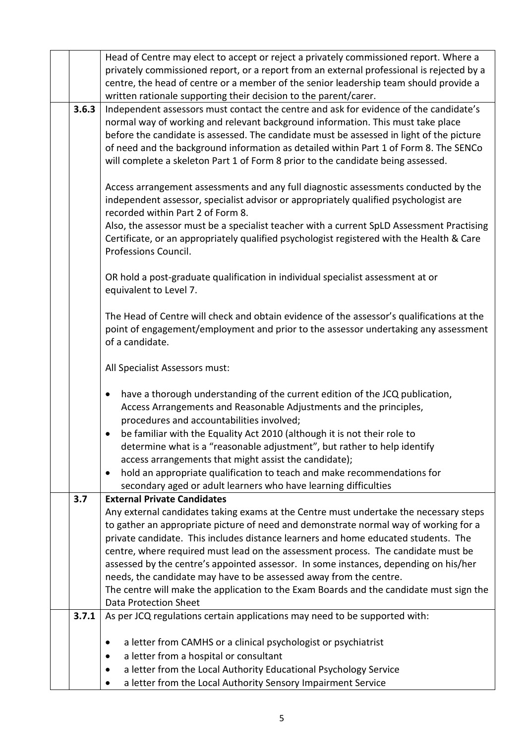|       | Head of Centre may elect to accept or reject a privately commissioned report. Where a<br>privately commissioned report, or a report from an external professional is rejected by a                                                                                                                                                                                                                                                                |  |  |
|-------|---------------------------------------------------------------------------------------------------------------------------------------------------------------------------------------------------------------------------------------------------------------------------------------------------------------------------------------------------------------------------------------------------------------------------------------------------|--|--|
|       | centre, the head of centre or a member of the senior leadership team should provide a<br>written rationale supporting their decision to the parent/carer.                                                                                                                                                                                                                                                                                         |  |  |
| 3.6.3 | Independent assessors must contact the centre and ask for evidence of the candidate's<br>normal way of working and relevant background information. This must take place<br>before the candidate is assessed. The candidate must be assessed in light of the picture<br>of need and the background information as detailed within Part 1 of Form 8. The SENCo<br>will complete a skeleton Part 1 of Form 8 prior to the candidate being assessed. |  |  |
|       | Access arrangement assessments and any full diagnostic assessments conducted by the<br>independent assessor, specialist advisor or appropriately qualified psychologist are<br>recorded within Part 2 of Form 8.                                                                                                                                                                                                                                  |  |  |
|       | Also, the assessor must be a specialist teacher with a current SpLD Assessment Practising<br>Certificate, or an appropriately qualified psychologist registered with the Health & Care<br>Professions Council.                                                                                                                                                                                                                                    |  |  |
|       | OR hold a post-graduate qualification in individual specialist assessment at or<br>equivalent to Level 7.                                                                                                                                                                                                                                                                                                                                         |  |  |
|       | The Head of Centre will check and obtain evidence of the assessor's qualifications at the<br>point of engagement/employment and prior to the assessor undertaking any assessment<br>of a candidate.                                                                                                                                                                                                                                               |  |  |
|       | All Specialist Assessors must:                                                                                                                                                                                                                                                                                                                                                                                                                    |  |  |
|       | have a thorough understanding of the current edition of the JCQ publication,<br>$\bullet$<br>Access Arrangements and Reasonable Adjustments and the principles,<br>procedures and accountabilities involved;                                                                                                                                                                                                                                      |  |  |
|       | be familiar with the Equality Act 2010 (although it is not their role to<br>$\bullet$<br>determine what is a "reasonable adjustment", but rather to help identify<br>access arrangements that might assist the candidate);                                                                                                                                                                                                                        |  |  |
|       | hold an appropriate qualification to teach and make recommendations for<br>secondary aged or adult learners who have learning difficulties                                                                                                                                                                                                                                                                                                        |  |  |
| 3.7   | <b>External Private Candidates</b>                                                                                                                                                                                                                                                                                                                                                                                                                |  |  |
|       | Any external candidates taking exams at the Centre must undertake the necessary steps                                                                                                                                                                                                                                                                                                                                                             |  |  |
|       | to gather an appropriate picture of need and demonstrate normal way of working for a<br>private candidate. This includes distance learners and home educated students. The                                                                                                                                                                                                                                                                        |  |  |
|       | centre, where required must lead on the assessment process. The candidate must be                                                                                                                                                                                                                                                                                                                                                                 |  |  |
|       | assessed by the centre's appointed assessor. In some instances, depending on his/her                                                                                                                                                                                                                                                                                                                                                              |  |  |
|       | needs, the candidate may have to be assessed away from the centre.                                                                                                                                                                                                                                                                                                                                                                                |  |  |
|       | The centre will make the application to the Exam Boards and the candidate must sign the                                                                                                                                                                                                                                                                                                                                                           |  |  |
| 3.7.1 | <b>Data Protection Sheet</b>                                                                                                                                                                                                                                                                                                                                                                                                                      |  |  |
|       | As per JCQ regulations certain applications may need to be supported with:                                                                                                                                                                                                                                                                                                                                                                        |  |  |
|       | a letter from CAMHS or a clinical psychologist or psychiatrist                                                                                                                                                                                                                                                                                                                                                                                    |  |  |
|       | a letter from a hospital or consultant                                                                                                                                                                                                                                                                                                                                                                                                            |  |  |
|       | a letter from the Local Authority Educational Psychology Service                                                                                                                                                                                                                                                                                                                                                                                  |  |  |
|       | a letter from the Local Authority Sensory Impairment Service                                                                                                                                                                                                                                                                                                                                                                                      |  |  |